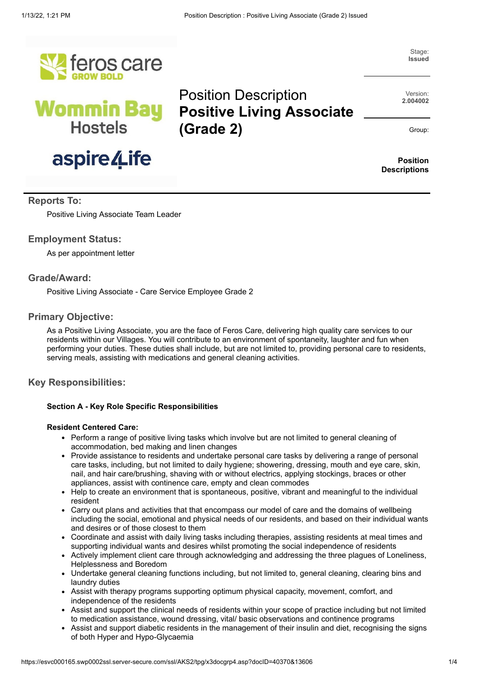Position Description

**(Grade 2)**





# aspire /Life

Stage: **Issued**

Version: **2.004002**

Group:

**Position Descriptions**

# **Reports To:**

Positive Living Associate Team Leader

# **Employment Status:**

As per appointment letter

# **Grade/Award:**

Positive Living Associate - Care Service Employee Grade 2

# **Primary Objective:**

As a Positive Living Associate, you are the face of Feros Care, delivering high quality care services to our residents within our Villages. You will contribute to an environment of spontaneity, laughter and fun when performing your duties. These duties shall include, but are not limited to, providing personal care to residents, serving meals, assisting with medications and general cleaning activities.

# **Key Responsibilities:**

#### **Section A - Key Role Specific Responsibilities**

#### **Resident Centered Care:**

- Perform a range of positive living tasks which involve but are not limited to general cleaning of accommodation, bed making and linen changes
- Provide assistance to residents and undertake personal care tasks by delivering a range of personal care tasks, including, but not limited to daily hygiene; showering, dressing, mouth and eye care, skin, nail, and hair care/brushing, shaving with or without electrics, applying stockings, braces or other appliances, assist with continence care, empty and clean commodes
- Help to create an environment that is spontaneous, positive, vibrant and meaningful to the individual resident
- Carry out plans and activities that that encompass our model of care and the domains of wellbeing including the social, emotional and physical needs of our residents, and based on their individual wants and desires or of those closest to them
- Coordinate and assist with daily living tasks including therapies, assisting residents at meal times and supporting individual wants and desires whilst promoting the social independence of residents
- Actively implement client care through acknowledging and addressing the three plagues of Loneliness, Helplessness and Boredom
- Undertake general cleaning functions including, but not limited to, general cleaning, clearing bins and laundry duties
- Assist with therapy programs supporting optimum physical capacity, movement, comfort, and independence of the residents
- Assist and support the clinical needs of residents within your scope of practice including but not limited to medication assistance, wound dressing, vital/ basic observations and continence programs
- Assist and support diabetic residents in the management of their insulin and diet, recognising the signs of both Hyper and Hypo-Glycaemia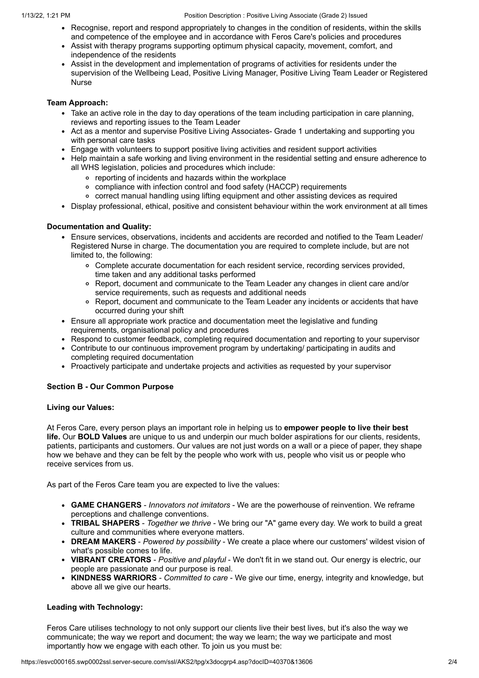- Recognise, report and respond appropriately to changes in the condition of residents, within the skills and competence of the employee and in accordance with Feros Care's policies and procedures
- Assist with therapy programs supporting optimum physical capacity, movement, comfort, and independence of the residents
- Assist in the development and implementation of programs of activities for residents under the supervision of the Wellbeing Lead, Positive Living Manager, Positive Living Team Leader or Registered Nurse

#### **Team Approach:**

- Take an active role in the day to day operations of the team including participation in care planning, reviews and reporting issues to the Team Leader
- Act as a mentor and supervise Positive Living Associates- Grade 1 undertaking and supporting you with personal care tasks
- Engage with volunteers to support positive living activities and resident support activities
- Help maintain a safe working and living environment in the residential setting and ensure adherence to all WHS legislation, policies and procedures which include:
	- reporting of incidents and hazards within the workplace
	- compliance with infection control and food safety (HACCP) requirements
	- correct manual handling using lifting equipment and other assisting devices as required
- Display professional, ethical, positive and consistent behaviour within the work environment at all times

#### **Documentation and Quality:**

- Ensure services, observations, incidents and accidents are recorded and notified to the Team Leader/ Registered Nurse in charge. The documentation you are required to complete include, but are not limited to, the following:
	- Complete accurate documentation for each resident service, recording services provided, time taken and any additional tasks performed
	- Report, document and communicate to the Team Leader any changes in client care and/or service requirements, such as requests and additional needs
	- Report, document and communicate to the Team Leader any incidents or accidents that have occurred during your shift
- Ensure all appropriate work practice and documentation meet the legislative and funding requirements, organisational policy and procedures
- Respond to customer feedback, completing required documentation and reporting to your supervisor
- Contribute to our continuous improvement program by undertaking/ participating in audits and completing required documentation
- Proactively participate and undertake projects and activities as requested by your supervisor

#### **Section B - Our Common Purpose**

#### **Living our Values:**

At Feros Care, every person plays an important role in helping us to **empower people to live their best life.** Our **BOLD Values** are unique to us and underpin our much bolder aspirations for our clients, residents, patients, participants and customers. Our values are not just words on a wall or a piece of paper, they shape how we behave and they can be felt by the people who work with us, people who visit us or people who receive services from us.

As part of the Feros Care team you are expected to live the values:

- **GAME CHANGERS** *Innovators not imitators* We are the powerhouse of reinvention. We reframe perceptions and challenge conventions.
- **TRIBAL SHAPERS** *Together we thrive* We bring our "A" game every day. We work to build a great culture and communities where everyone matters.
- **DREAM MAKERS** *Powered by possibility* We create a place where our customers' wildest vision of what's possible comes to life.
- **VIBRANT CREATORS** *Positive and playful* We don't fit in we stand out. Our energy is electric, our people are passionate and our purpose is real.
- **KINDNESS WARRIORS** *Committed to care* We give our time, energy, integrity and knowledge, but above all we give our hearts.

#### **Leading with Technology:**

Feros Care utilises technology to not only support our clients live their best lives, but it's also the way we communicate; the way we report and document; the way we learn; the way we participate and most importantly how we engage with each other. To join us you must be: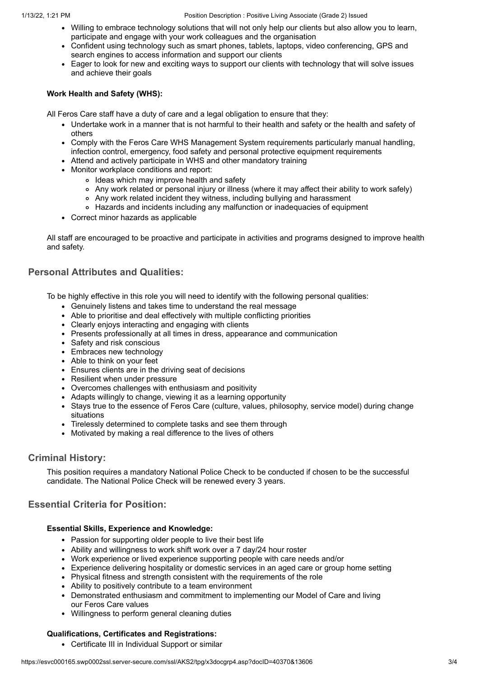- Willing to embrace technology solutions that will not only help our clients but also allow you to learn, participate and engage with your work colleagues and the organisation
- Confident using technology such as smart phones, tablets, laptops, video conferencing, GPS and search engines to access information and support our clients
- Eager to look for new and exciting ways to support our clients with technology that will solve issues and achieve their goals

## **Work Health and Safety (WHS):**

All Feros Care staff have a duty of care and a legal obligation to ensure that they:

- Undertake work in a manner that is not harmful to their health and safety or the health and safety of others
- Comply with the Feros Care WHS Management System requirements particularly manual handling, infection control, emergency, food safety and personal protective equipment requirements
- Attend and actively participate in WHS and other mandatory training
- Monitor workplace conditions and report:
	- o Ideas which may improve health and safety
	- Any work related or personal injury or illness (where it may affect their ability to work safely)
	- Any work related incident they witness, including bullying and harassment
	- Hazards and incidents including any malfunction or inadequacies of equipment
- Correct minor hazards as applicable

All staff are encouraged to be proactive and participate in activities and programs designed to improve health and safety.

# **Personal Attributes and Qualities:**

To be highly effective in this role you will need to identify with the following personal qualities:

- Genuinely listens and takes time to understand the real message
- Able to prioritise and deal effectively with multiple conflicting priorities
- Clearly enjoys interacting and engaging with clients
- Presents professionally at all times in dress, appearance and communication
- Safety and risk conscious
- Embraces new technology
- Able to think on your feet
- Ensures clients are in the driving seat of decisions
- Resilient when under pressure
- Overcomes challenges with enthusiasm and positivity
- Adapts willingly to change, viewing it as a learning opportunity
- Stays true to the essence of Feros Care (culture, values, philosophy, service model) during change situations
- Tirelessly determined to complete tasks and see them through
- Motivated by making a real difference to the lives of others

# **Criminal History:**

This position requires a mandatory National Police Check to be conducted if chosen to be the successful candidate. The National Police Check will be renewed every 3 years.

# **Essential Criteria for Position:**

#### **Essential Skills, Experience and Knowledge:**

- Passion for supporting older people to live their best life
- Ability and willingness to work shift work over a 7 day/24 hour roster
- Work experience or lived experience supporting people with care needs and/or
- Experience delivering hospitality or domestic services in an aged care or group home setting
- Physical fitness and strength consistent with the requirements of the role
- Ability to positively contribute to a team environment
- Demonstrated enthusiasm and commitment to implementing our Model of Care and living our Feros Care values
- Willingness to perform general cleaning duties

#### **Qualifications, Certificates and Registrations:**

Certificate III in Individual Support or similar